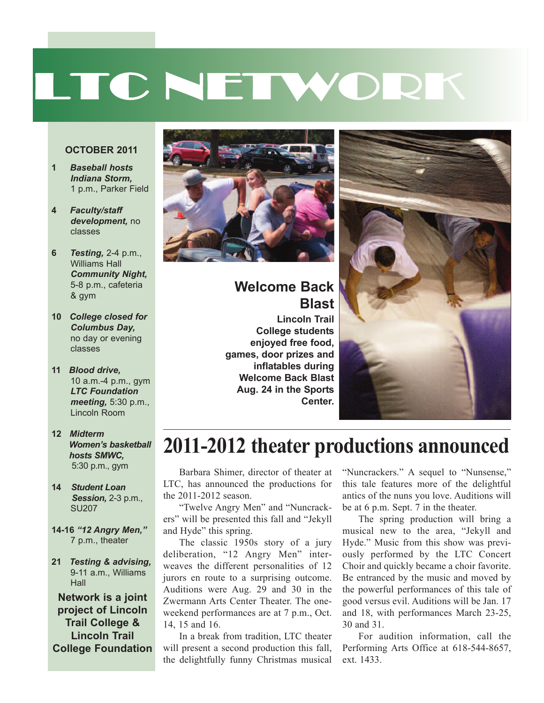# LTC NETWORK

#### **OCTOBER 2011**

- **1** *Baseball hosts Indiana Storm,* 1 p.m., Parker Field
- **4** *Faculty/staff development,* no classes
- **6** *Testing,* 2-4 p.m., Williams Hall *Community Night,* 5-8 p.m., cafeteria & gym
- **10** *College closed for Columbus Day,* no day or evening classes
- **11** *Blood drive,* 10 a.m.-4 p.m., gym *LTC Foundation meeting,* 5:30 p.m., Lincoln Room
- **12** *Midterm Women's basketball hosts SMWC,* 5:30 p.m., gym
- **14** *Student Loan Session,* 2-3 p.m., SU207
- **14-16** *"12 Angry Men,"* 7 p.m., theater
- **21** *Testing & advising,* 9-11 a.m., Williams **Hall**

**Network is a joint project of Lincoln Trail College & Lincoln Trail College Foundation**



#### **Welcome Back Blast**

**Lincoln Trail College students enjoyed free food, games, door prizes and inflatables during Welcome Back Blast Aug. 24 in the Sports Center.**



## **2011-2012 theater productions announced**

Barbara Shimer, director of theater at LTC, has announced the productions for the 2011-2012 season.

"Twelve Angry Men" and "Nuncrackers" will be presented this fall and "Jekyll and Hyde" this spring.

The classic 1950s story of a jury deliberation, "12 Angry Men" interweaves the different personalities of 12 jurors en route to a surprising outcome. Auditions were Aug. 29 and 30 in the Zwermann Arts Center Theater. The oneweekend performances are at 7 p.m., Oct. 14, 15 and 16.

In a break from tradition, LTC theater will present a second production this fall, the delightfully funny Christmas musical

"Nuncrackers." A sequel to "Nunsense," this tale features more of the delightful antics of the nuns you love. Auditions will be at 6 p.m. Sept. 7 in the theater.

The spring production will bring a musical new to the area, "Jekyll and Hyde." Music from this show was previously performed by the LTC Concert Choir and quickly became a choir favorite. Be entranced by the music and moved by the powerful performances of this tale of good versus evil. Auditions will be Jan. 17 and 18, with performances March 23-25, 30 and 31.

For audition information, call the Performing Arts Office at 618-544-8657, ext. 1433.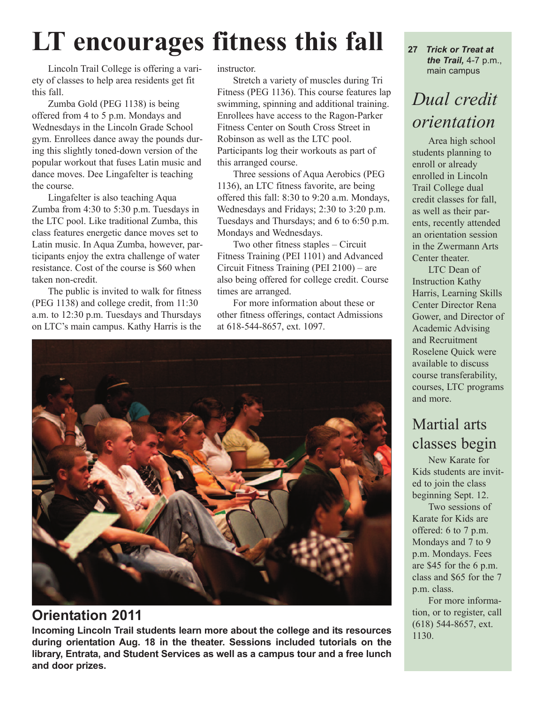## **LT encourages fitness this fall**

Lincoln Trail College is offering a variety of classes to help area residents get fit this fall.

Zumba Gold (PEG 1138) is being offered from 4 to 5 p.m. Mondays and Wednesdays in the Lincoln Grade School gym. Enrollees dance away the pounds during this slightly toned-down version of the popular workout that fuses Latin music and dance moves. Dee Lingafelter is teaching the course.

Lingafelter is also teaching Aqua Zumba from 4:30 to 5:30 p.m. Tuesdays in the LTC pool. Like traditional Zumba, this class features energetic dance moves set to Latin music. In Aqua Zumba, however, participants enjoy the extra challenge of water resistance. Cost of the course is \$60 when taken non-credit.

The public is invited to walk for fitness (PEG 1138) and college credit, from 11:30 a.m. to 12:30 p.m. Tuesdays and Thursdays on LTC's main campus. Kathy Harris is the instructor.

Stretch a variety of muscles during Tri Fitness (PEG 1136). This course features lap swimming, spinning and additional training. Enrollees have access to the Ragon-Parker Fitness Center on South Cross Street in Robinson as well as the LTC pool. Participants log their workouts as part of this arranged course.

Three sessions of Aqua Aerobics (PEG 1136), an LTC fitness favorite, are being offered this fall: 8:30 to 9:20 a.m. Mondays, Wednesdays and Fridays; 2:30 to 3:20 p.m. Tuesdays and Thursdays; and 6 to 6:50 p.m. Mondays and Wednesdays.

Two other fitness staples – Circuit Fitness Training (PEI 1101) and Advanced Circuit Fitness Training (PEI 2100) – are also being offered for college credit. Course times are arranged.

For more information about these or other fitness offerings, contact Admissions at 618-544-8657, ext. 1097.



### **Orientation 2011**

**Incoming Lincoln Trail students learn more about the college and its resources during orientation Aug. 18 in the theater. Sessions included tutorials on the library, Entrata, and Student Services as well as a campus tour and a free lunch and door prizes.**

**27** *Trick or Treat at the Trail,* 4-7 p.m., main campus

## *Dual credit orientation*

Area high school students planning to enroll or already enrolled in Lincoln Trail College dual credit classes for fall, as well as their parents, recently attended an orientation session in the Zwermann Arts Center theater.

LTC Dean of Instruction Kathy Harris, Learning Skills Center Director Rena Gower, and Director of Academic Advising and Recruitment Roselene Quick were available to discuss course transferability, courses, LTC programs and more.

## Martial arts classes begin

New Karate for Kids students are invited to join the class beginning Sept. 12.

Two sessions of Karate for Kids are offered: 6 to 7 p.m. Mondays and 7 to 9 p.m. Mondays. Fees are \$45 for the 6 p.m. class and \$65 for the 7 p.m. class.

For more information, or to register, call (618) 544-8657, ext. 1130.